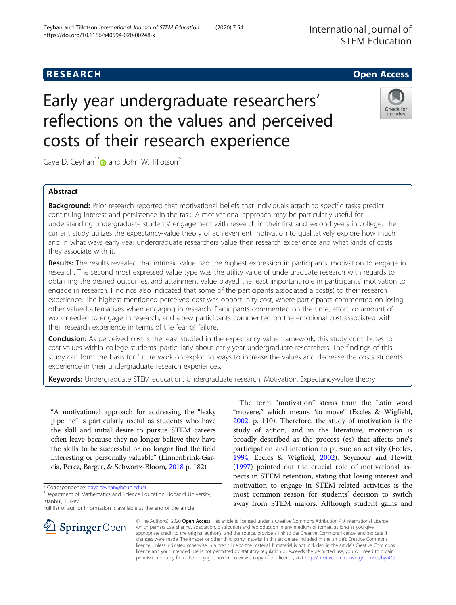# **RESEARCH CHEAR CHEAR CHEAR CHEAR CHEAR CHEAR CHEAR CHEAR CHEAR CHEAR CHEAR CHEAR CHEAR CHEAR CHEAR CHEAR CHEAR**

# Early year undergraduate researchers' reflections on the values and perceived costs of their research experience

Gaye D. Ceyhan<sup>1[\\*](http://orcid.org/0000-0003-1312-3547)</sup> and John W. Tillotson<sup>2</sup>

# Abstract

Background: Prior research reported that motivational beliefs that individuals attach to specific tasks predict continuing interest and persistence in the task. A motivational approach may be particularly useful for understanding undergraduate students' engagement with research in their first and second years in college. The current study utilizes the expectancy-value theory of achievement motivation to qualitatively explore how much and in what ways early year undergraduate researchers value their research experience and what kinds of costs they associate with it.

Results: The results revealed that intrinsic value had the highest expression in participants' motivation to engage in research. The second most expressed value type was the utility value of undergraduate research with regards to obtaining the desired outcomes, and attainment value played the least important role in participants' motivation to engage in research. Findings also indicated that some of the participants associated a cost(s) to their research experience. The highest mentioned perceived cost was opportunity cost, where participants commented on losing other valued alternatives when engaging in research. Participants commented on the time, effort, or amount of work needed to engage in research, and a few participants commented on the emotional cost associated with their research experience in terms of the fear of failure.

Conclusion: As perceived cost is the least studied in the expectancy-value framework, this study contributes to cost values within college students, particularly about early year undergraduate researchers. The findings of this study can form the basis for future work on exploring ways to increase the values and decrease the costs students experience in their undergraduate research experiences.

Keywords: Undergraduate STEM education, Undergraduate research, Motivation, Expectancy-value theory

"A motivational approach for addressing the "leaky pipeline" is particularly useful as students who have the skill and initial desire to pursue STEM careers often leave because they no longer believe they have the skills to be successful or no longer find the field interesting or personally valuable" (Linnenbrink-Garcia, Perez, Barger, & Schwartz-Bloom, [2018](#page-17-0) p. 182)

\* Correspondence: [gaye.ceyhan@boun.edu.tr](mailto:gaye.ceyhan@boun.edu.tr) <sup>1</sup>

<sup>1</sup> Department of Mathematics and Science Education, Bogazici University, Istanbul, Turkey

Full list of author information is available at the end of the article

The term "motivation" stems from the Latin word "movere," which means "to move" (Eccles & Wigfield, [2002](#page-17-0), p. 110). Therefore, the study of motivation is the study of action, and in the literature, motivation is broadly described as the process (es) that affects one's participation and intention to pursue an activity (Eccles, [1994](#page-17-0); Eccles & Wigfield, [2002\)](#page-17-0). Seymour and Hewitt ([1997\)](#page-17-0) pointed out the crucial role of motivational aspects in STEM retention, stating that losing interest and motivation to engage in STEM-related activities is the most common reason for students' decision to switch away from STEM majors. Although student gains and

© The Author(s). 2020 Open Access This article is licensed under a Creative Commons Attribution 4.0 International License, which permits use, sharing, adaptation, distribution and reproduction in any medium or format, as long as you give appropriate credit to the original author(s) and the source, provide a link to the Creative Commons licence, and indicate if changes were made. The images or other third party material in this article are included in the article's Creative Commons licence, unless indicated otherwise in a credit line to the material. If material is not included in the article's Creative Commons licence and your intended use is not permitted by statutory regulation or exceeds the permitted use, you will need to obtain permission directly from the copyright holder. To view a copy of this licence, visit <http://creativecommons.org/licenses/by/4.0/>.







updates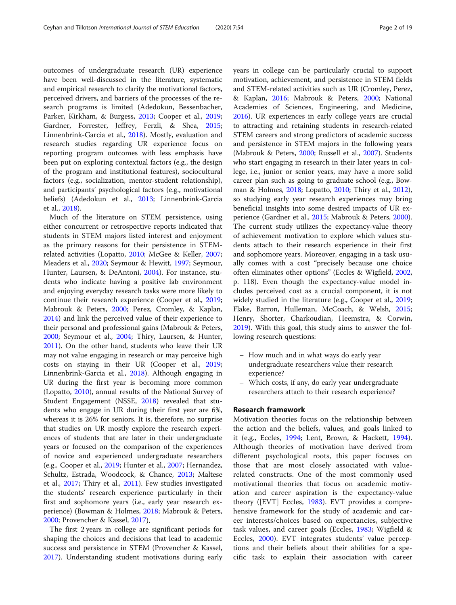outcomes of undergraduate research (UR) experience have been well-discussed in the literature, systematic and empirical research to clarify the motivational factors, perceived drivers, and barriers of the processes of the research programs is limited (Adedokun, Bessenbacher, Parker, Kirkham, & Burgess, [2013;](#page-16-0) Cooper et al., [2019](#page-17-0); Gardner, Forrester, Jeffrey, Ferzli, & Shea, [2015](#page-17-0); Linnenbrink-Garcia et al., [2018\)](#page-17-0). Mostly, evaluation and research studies regarding UR experience focus on reporting program outcomes with less emphasis have been put on exploring contextual factors (e.g., the design of the program and institutional features), sociocultural factors (e.g., socialization, mentor-student relationship), and participants' psychological factors (e.g., motivational beliefs) (Adedokun et al., [2013](#page-16-0); Linnenbrink-Garcia et al., [2018](#page-17-0)).

Much of the literature on STEM persistence, using either concurrent or retrospective reports indicated that students in STEM majors listed interest and enjoyment as the primary reasons for their persistence in STEMrelated activities (Lopatto, [2010](#page-17-0); McGee & Keller, [2007](#page-17-0); Meaders et al., [2020;](#page-17-0) Seymour & Hewitt, [1997](#page-17-0); Seymour, Hunter, Laursen, & DeAntoni, [2004\)](#page-17-0). For instance, students who indicate having a positive lab environment and enjoying everyday research tasks were more likely to continue their research experience (Cooper et al., [2019](#page-17-0); Mabrouk & Peters, [2000;](#page-17-0) Perez, Cromley, & Kaplan, [2014](#page-17-0)) and link the perceived value of their experience to their personal and professional gains (Mabrouk & Peters, [2000](#page-17-0); Seymour et al., [2004;](#page-17-0) Thiry, Laursen, & Hunter, [2011](#page-18-0)). On the other hand, students who leave their UR may not value engaging in research or may perceive high costs on staying in their UR (Cooper et al., [2019](#page-17-0); Linnenbrink-Garcia et al., [2018](#page-17-0)). Although engaging in UR during the first year is becoming more common (Lopatto, [2010\)](#page-17-0), annual results of the National Survey of Student Engagement (NSSE, [2018](#page-17-0)) revealed that students who engage in UR during their first year are 6%, whereas it is 26% for seniors. It is, therefore, no surprise that studies on UR mostly explore the research experiences of students that are later in their undergraduate years or focused on the comparison of the experiences of novice and experienced undergraduate researchers (e.g., Cooper et al., [2019](#page-17-0); Hunter et al., [2007](#page-17-0); Hernandez, Schultz, Estrada, Woodcock, & Chance, [2013;](#page-17-0) Maltese et al., [2017;](#page-17-0) Thiry et al., [2011](#page-18-0)). Few studies investigated the students' research experience particularly in their first and sophomore years (i.e., early year research experience) (Bowman & Holmes, [2018;](#page-16-0) Mabrouk & Peters, [2000](#page-17-0); Provencher & Kassel, [2017](#page-17-0)).

The first 2 years in college are significant periods for shaping the choices and decisions that lead to academic success and persistence in STEM (Provencher & Kassel, [2017](#page-17-0)). Understanding student motivations during early years in college can be particularly crucial to support motivation, achievement, and persistence in STEM fields and STEM-related activities such as UR (Cromley, Perez, & Kaplan, [2016](#page-17-0); Mabrouk & Peters, [2000;](#page-17-0) National Academies of Sciences, Engineering, and Medicine, [2016](#page-17-0)). UR experiences in early college years are crucial to attracting and retaining students in research-related STEM careers and strong predictors of academic success and persistence in STEM majors in the following years (Mabrouk & Peters, [2000](#page-17-0); Russell et al., [2007](#page-17-0)). Students who start engaging in research in their later years in college, i.e., junior or senior years, may have a more solid career plan such as going to graduate school (e.g., Bowman & Holmes, [2018;](#page-16-0) Lopatto, [2010](#page-17-0); Thiry et al., [2012](#page-18-0)), so studying early year research experiences may bring beneficial insights into some desired impacts of UR experience (Gardner et al., [2015](#page-17-0); Mabrouk & Peters, [2000](#page-17-0)). The current study utilizes the expectancy-value theory of achievement motivation to explore which values students attach to their research experience in their first and sophomore years. Moreover, engaging in a task usually comes with a cost "precisely because one choice often eliminates other options" (Eccles & Wigfield, [2002](#page-17-0), p. 118). Even though the expectancy-value model includes perceived cost as a crucial component, it is not widely studied in the literature (e.g., Cooper et al., [2019](#page-17-0); Flake, Barron, Hulleman, McCoach, & Welsh, [2015](#page-17-0); Henry, Shorter, Charkoudian, Heemstra, & Corwin, [2019](#page-17-0)). With this goal, this study aims to answer the following research questions:

- How much and in what ways do early year undergraduate researchers value their research experience?
- Which costs, if any, do early year undergraduate researchers attach to their research experience?

# Research framework

Motivation theories focus on the relationship between the action and the beliefs, values, and goals linked to it (e.g., Eccles, [1994;](#page-17-0) Lent, Brown, & Hackett, [1994](#page-17-0)). Although theories of motivation have derived from different psychological roots, this paper focuses on those that are most closely associated with valuerelated constructs. One of the most commonly used motivational theories that focus on academic motivation and career aspiration is the expectancy-value theory ([EVT] Eccles, [1983](#page-17-0)). EVT provides a comprehensive framework for the study of academic and career interests/choices based on expectancies, subjective task values, and career goals (Eccles, [1983;](#page-17-0) Wigfield & Eccles, [2000\)](#page-18-0). EVT integrates students' value perceptions and their beliefs about their abilities for a specific task to explain their association with career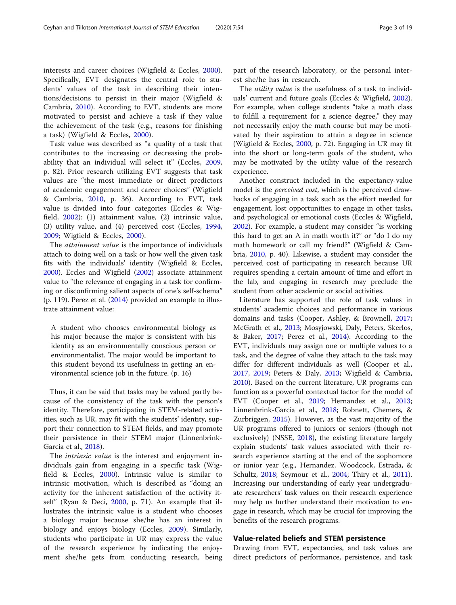interests and career choices (Wigfield & Eccles, [2000](#page-18-0)). Specifically, EVT designates the central role to students' values of the task in describing their intentions/decisions to persist in their major (Wigfield & Cambria, [2010\)](#page-18-0). According to EVT, students are more motivated to persist and achieve a task if they value the achievement of the task (e.g., reasons for finishing a task) (Wigfield & Eccles, [2000](#page-18-0)).

Task value was described as "a quality of a task that contributes to the increasing or decreasing the probability that an individual will select it" (Eccles, [2009](#page-17-0), p. 82). Prior research utilizing EVT suggests that task values are "the most immediate or direct predictors of academic engagement and career choices" (Wigfield & Cambria, [2010](#page-18-0), p. 36). According to EVT, task value is divided into four categories (Eccles & Wigfield, [2002](#page-17-0)): (1) attainment value, (2) intrinsic value, (3) utility value, and (4) perceived cost (Eccles, [1994](#page-17-0), [2009;](#page-17-0) Wigfield & Eccles, [2000](#page-18-0)).

The attainment value is the importance of individuals attach to doing well on a task or how well the given task fits with the individuals' identity (Wigfield & Eccles, [2000](#page-18-0)). Eccles and Wigfield [\(2002\)](#page-17-0) associate attainment value to "the relevance of engaging in a task for confirming or disconfirming salient aspects of one's self-schema" (p. 119). Perez et al. [\(2014](#page-17-0)) provided an example to illustrate attainment value:

A student who chooses environmental biology as his major because the major is consistent with his identity as an environmentally conscious person or environmentalist. The major would be important to this student beyond its usefulness in getting an environmental science job in the future. (p. 16)

Thus, it can be said that tasks may be valued partly because of the consistency of the task with the person's identity. Therefore, participating in STEM-related activities, such as UR, may fit with the students' identity, support their connection to STEM fields, and may promote their persistence in their STEM major (Linnenbrink-Garcia et al., [2018\)](#page-17-0).

The intrinsic value is the interest and enjoyment individuals gain from engaging in a specific task (Wigfield & Eccles, [2000\)](#page-18-0). Intrinsic value is similar to intrinsic motivation, which is described as "doing an activity for the inherent satisfaction of the activity itself" (Ryan & Deci, [2000](#page-17-0), p. 71). An example that illustrates the intrinsic value is a student who chooses a biology major because she/he has an interest in biology and enjoys biology (Eccles, [2009](#page-17-0)). Similarly, students who participate in UR may express the value of the research experience by indicating the enjoyment she/he gets from conducting research, being part of the research laboratory, or the personal interest she/he has in research.

The *utility value* is the usefulness of a task to individuals' current and future goals (Eccles & Wigfield, [2002](#page-17-0)). For example, when college students "take a math class to fulfill a requirement for a science degree," they may not necessarily enjoy the math course but may be motivated by their aspiration to attain a degree in science (Wigfield & Eccles, [2000,](#page-18-0) p. 72). Engaging in UR may fit into the short or long-term goals of the student, who may be motivated by the utility value of the research experience.

Another construct included in the expectancy-value model is the *perceived cost*, which is the perceived drawbacks of engaging in a task such as the effort needed for engagement, lost opportunities to engage in other tasks, and psychological or emotional costs (Eccles & Wigfield, [2002](#page-17-0)). For example, a student may consider "is working this hard to get an A in math worth it?" or "do I do my math homework or call my friend?" (Wigfield & Cambria, [2010](#page-18-0), p. 40). Likewise, a student may consider the perceived cost of participating in research because UR requires spending a certain amount of time and effort in the lab, and engaging in research may preclude the student from other academic or social activities.

Literature has supported the role of task values in students' academic choices and performance in various domains and tasks (Cooper, Ashley, & Brownell, [2017](#page-16-0); McGrath et al., [2013;](#page-17-0) Mosyjowski, Daly, Peters, Skerlos, & Baker, [2017;](#page-17-0) Perez et al., [2014](#page-17-0)). According to the EVT, individuals may assign one or multiple values to a task, and the degree of value they attach to the task may differ for different individuals as well (Cooper et al., [2017](#page-16-0), [2019;](#page-17-0) Peters & Daly, [2013;](#page-17-0) Wigfield & Cambria, [2010](#page-18-0)). Based on the current literature, UR programs can function as a powerful contextual factor for the model of EVT (Cooper et al., [2019](#page-17-0); Hernandez et al., [2013](#page-17-0); Linnenbrink-Garcia et al., [2018;](#page-17-0) Robnett, Chemers, & Zurbriggen, [2015](#page-17-0)). However, as the vast majority of the UR programs offered to juniors or seniors (though not exclusively) (NSSE, [2018](#page-17-0)), the existing literature largely explain students' task values associated with their research experience starting at the end of the sophomore or junior year (e.g., Hernandez, Woodcock, Estrada, & Schultz, [2018;](#page-17-0) Seymour et al., [2004;](#page-17-0) Thiry et al., [2011](#page-18-0)). Increasing our understanding of early year undergraduate researchers' task values on their research experience may help us further understand their motivation to engage in research, which may be crucial for improving the benefits of the research programs.

## Value-related beliefs and STEM persistence

Drawing from EVT, expectancies, and task values are direct predictors of performance, persistence, and task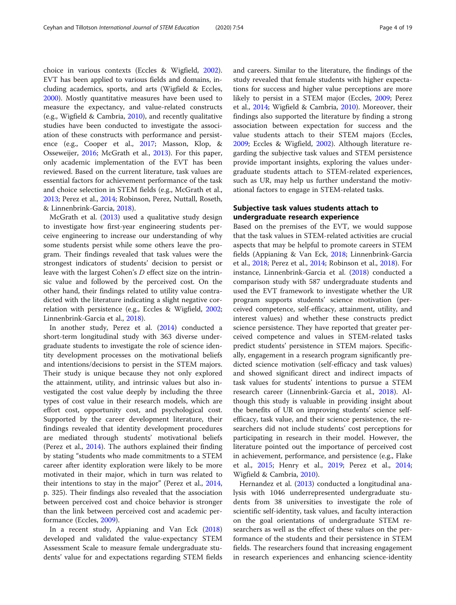choice in various contexts (Eccles & Wigfield, [2002](#page-17-0)). EVT has been applied to various fields and domains, including academics, sports, and arts (Wigfield & Eccles, [2000](#page-18-0)). Mostly quantitative measures have been used to measure the expectancy, and value-related constructs (e.g., Wigfield & Cambria, [2010](#page-18-0)), and recently qualitative studies have been conducted to investigate the association of these constructs with performance and persistence (e.g., Cooper et al., [2017](#page-16-0); Masson, Klop, & Osseweijer, [2016](#page-17-0); McGrath et al., [2013\)](#page-17-0). For this paper, only academic implementation of the EVT has been reviewed. Based on the current literature, task values are essential factors for achievement performance of the task and choice selection in STEM fields (e.g., McGrath et al., [2013](#page-17-0); Perez et al., [2014;](#page-17-0) Robinson, Perez, Nuttall, Roseth, & Linnenbrink-Garcia, [2018](#page-17-0)).

McGrath et al. [\(2013\)](#page-17-0) used a qualitative study design to investigate how first-year engineering students perceive engineering to increase our understanding of why some students persist while some others leave the program. Their findings revealed that task values were the strongest indicators of students' decision to persist or leave with the largest Cohen's D effect size on the intrinsic value and followed by the perceived cost. On the other hand, their findings related to utility value contradicted with the literature indicating a slight negative correlation with persistence (e.g., Eccles & Wigfield, [2002](#page-17-0); Linnenbrink-Garcia et al., [2018\)](#page-17-0).

In another study, Perez et al. [\(2014\)](#page-17-0) conducted a short-term longitudinal study with 363 diverse undergraduate students to investigate the role of science identity development processes on the motivational beliefs and intentions/decisions to persist in the STEM majors. Their study is unique because they not only explored the attainment, utility, and intrinsic values but also investigated the cost value deeply by including the three types of cost value in their research models, which are effort cost, opportunity cost, and psychological cost. Supported by the career development literature, their findings revealed that identity development procedures are mediated through students' motivational beliefs (Perez et al., [2014](#page-17-0)). The authors explained their finding by stating "students who made commitments to a STEM career after identity exploration were likely to be more motivated in their major, which in turn was related to their intentions to stay in the major" (Perez et al., [2014](#page-17-0), p. 325). Their findings also revealed that the association between perceived cost and choice behavior is stronger than the link between perceived cost and academic performance (Eccles, [2009](#page-17-0)).

In a recent study, Appianing and Van Eck ([2018](#page-16-0)) developed and validated the value-expectancy STEM Assessment Scale to measure female undergraduate students' value for and expectations regarding STEM fields and careers. Similar to the literature, the findings of the study revealed that female students with higher expectations for success and higher value perceptions are more likely to persist in a STEM major (Eccles, [2009;](#page-17-0) Perez et al., [2014](#page-17-0); Wigfield & Cambria, [2010\)](#page-18-0). Moreover, their findings also supported the literature by finding a strong association between expectation for success and the value students attach to their STEM majors (Eccles, [2009](#page-17-0); Eccles & Wigfield, [2002\)](#page-17-0). Although literature regarding the subjective task values and STEM persistence provide important insights, exploring the values undergraduate students attach to STEM-related experiences, such as UR, may help us further understand the motivational factors to engage in STEM-related tasks.

# Subjective task values students attach to undergraduate research experience

Based on the premises of the EVT, we would suppose that the task values in STEM-related activities are crucial aspects that may be helpful to promote careers in STEM fields (Appianing & Van Eck, [2018;](#page-16-0) Linnenbrink-Garcia et al., [2018](#page-17-0); Perez et al., [2014;](#page-17-0) Robinson et al., [2018](#page-17-0)). For instance, Linnenbrink-Garcia et al. [\(2018](#page-17-0)) conducted a comparison study with 587 undergraduate students and used the EVT framework to investigate whether the UR program supports students' science motivation (perceived competence, self-efficacy, attainment, utility, and interest values) and whether these constructs predict science persistence. They have reported that greater perceived competence and values in STEM-related tasks predict students' persistence in STEM majors. Specifically, engagement in a research program significantly predicted science motivation (self-efficacy and task values) and showed significant direct and indirect impacts of task values for students' intentions to pursue a STEM research career (Linnenbrink-Garcia et al., [2018](#page-17-0)). Although this study is valuable in providing insight about the benefits of UR on improving students' science selfefficacy, task value, and their science persistence, the researchers did not include students' cost perceptions for participating in research in their model. However, the literature pointed out the importance of perceived cost in achievement, performance, and persistence (e.g., Flake et al., [2015](#page-17-0); Henry et al., [2019;](#page-17-0) Perez et al., [2014](#page-17-0); Wigfield & Cambria, [2010](#page-18-0)).

Hernandez et al. ([2013\)](#page-17-0) conducted a longitudinal analysis with 1046 underrepresented undergraduate students from 38 universities to investigate the role of scientific self-identity, task values, and faculty interaction on the goal orientations of undergraduate STEM researchers as well as the effect of these values on the performance of the students and their persistence in STEM fields. The researchers found that increasing engagement in research experiences and enhancing science-identity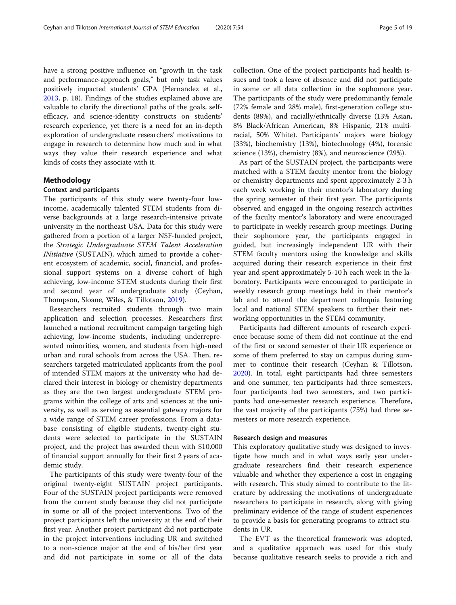have a strong positive influence on "growth in the task and performance-approach goals," but only task values positively impacted students' GPA (Hernandez et al., [2013](#page-17-0), p. 18). Findings of the studies explained above are valuable to clarify the directional paths of the goals, selfefficacy, and science-identity constructs on students' research experience, yet there is a need for an in-depth exploration of undergraduate researchers' motivations to engage in research to determine how much and in what ways they value their research experience and what kinds of costs they associate with it.

### Methodology

## Context and participants

The participants of this study were twenty-four lowincome, academically talented STEM students from diverse backgrounds at a large research-intensive private university in the northeast USA. Data for this study were gathered from a portion of a larger NSF-funded project, the Strategic Undergraduate STEM Talent Acceleration INitiative (SUSTAIN), which aimed to provide a coherent ecosystem of academic, social, financial, and professional support systems on a diverse cohort of high achieving, low-income STEM students during their first and second year of undergraduate study (Ceyhan, Thompson, Sloane, Wiles, & Tillotson, [2019](#page-16-0)).

Researchers recruited students through two main application and selection processes. Researchers first launched a national recruitment campaign targeting high achieving, low-income students, including underrepresented minorities, women, and students from high-need urban and rural schools from across the USA. Then, researchers targeted matriculated applicants from the pool of intended STEM majors at the university who had declared their interest in biology or chemistry departments as they are the two largest undergraduate STEM programs within the college of arts and sciences at the university, as well as serving as essential gateway majors for a wide range of STEM career professions. From a database consisting of eligible students, twenty-eight students were selected to participate in the SUSTAIN project, and the project has awarded them with \$10,000 of financial support annually for their first 2 years of academic study.

The participants of this study were twenty-four of the original twenty-eight SUSTAIN project participants. Four of the SUSTAIN project participants were removed from the current study because they did not participate in some or all of the project interventions. Two of the project participants left the university at the end of their first year. Another project participant did not participate in the project interventions including UR and switched to a non-science major at the end of his/her first year and did not participate in some or all of the data collection. One of the project participants had health issues and took a leave of absence and did not participate in some or all data collection in the sophomore year. The participants of the study were predominantly female (72% female and 28% male), first-generation college students (88%), and racially/ethnically diverse (13% Asian, 8% Black/African American, 8% Hispanic, 21% multiracial, 50% White). Participants' majors were biology (33%), biochemistry (13%), biotechnology (4%), forensic science (13%), chemistry (8%), and neuroscience (29%).

As part of the SUSTAIN project, the participants were matched with a STEM faculty mentor from the biology or chemistry departments and spent approximately 2-3 h each week working in their mentor's laboratory during the spring semester of their first year. The participants observed and engaged in the ongoing research activities of the faculty mentor's laboratory and were encouraged to participate in weekly research group meetings. During their sophomore year, the participants engaged in guided, but increasingly independent UR with their STEM faculty mentors using the knowledge and skills acquired during their research experience in their first year and spent approximately 5-10 h each week in the laboratory. Participants were encouraged to participate in weekly research group meetings held in their mentor's lab and to attend the department colloquia featuring local and national STEM speakers to further their networking opportunities in the STEM community.

Participants had different amounts of research experience because some of them did not continue at the end of the first or second semester of their UR experience or some of them preferred to stay on campus during summer to continue their research (Ceyhan & Tillotson, [2020](#page-16-0)). In total, eight participants had three semesters and one summer, ten participants had three semesters, four participants had two semesters, and two participants had one-semester research experience. Therefore, the vast majority of the participants (75%) had three semesters or more research experience.

### Research design and measures

This exploratory qualitative study was designed to investigate how much and in what ways early year undergraduate researchers find their research experience valuable and whether they experience a cost in engaging with research. This study aimed to contribute to the literature by addressing the motivations of undergraduate researchers to participate in research, along with giving preliminary evidence of the range of student experiences to provide a basis for generating programs to attract students in UR.

The EVT as the theoretical framework was adopted, and a qualitative approach was used for this study because qualitative research seeks to provide a rich and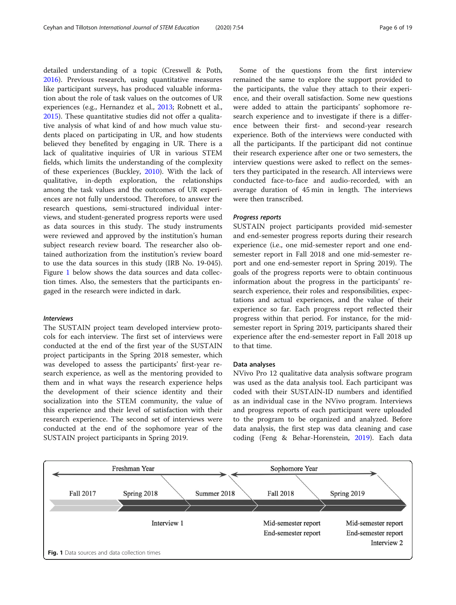detailed understanding of a topic (Creswell & Poth, [2016](#page-17-0)). Previous research, using quantitative measures like participant surveys, has produced valuable information about the role of task values on the outcomes of UR experiences (e.g., Hernandez et al., [2013;](#page-17-0) Robnett et al., [2015](#page-17-0)). These quantitative studies did not offer a qualitative analysis of what kind of and how much value students placed on participating in UR, and how students believed they benefited by engaging in UR. There is a lack of qualitative inquiries of UR in various STEM fields, which limits the understanding of the complexity of these experiences (Buckley, [2010\)](#page-16-0). With the lack of qualitative, in-depth exploration, the relationships among the task values and the outcomes of UR experiences are not fully understood. Therefore, to answer the research questions, semi-structured individual interviews, and student-generated progress reports were used as data sources in this study. The study instruments were reviewed and approved by the institution's human subject research review board. The researcher also obtained authorization from the institution's review board to use the data sources in this study (IRB No. 19-045). Figure 1 below shows the data sources and data collection times. Also, the semesters that the participants engaged in the research were indicted in dark.

The SUSTAIN project team developed interview protocols for each interview. The first set of interviews were conducted at the end of the first year of the SUSTAIN project participants in the Spring 2018 semester, which was developed to assess the participants' first-year research experience, as well as the mentoring provided to them and in what ways the research experience helps the development of their science identity and their socialization into the STEM community, the value of this experience and their level of satisfaction with their research experience. The second set of interviews were conducted at the end of the sophomore year of the SUSTAIN project participants in Spring 2019.

Some of the questions from the first interview remained the same to explore the support provided to the participants, the value they attach to their experience, and their overall satisfaction. Some new questions were added to attain the participants' sophomore research experience and to investigate if there is a difference between their first- and second-year research experience. Both of the interviews were conducted with all the participants. If the participant did not continue their research experience after one or two semesters, the interview questions were asked to reflect on the semesters they participated in the research. All interviews were conducted face-to-face and audio-recorded, with an average duration of 45 min in length. The interviews were then transcribed.

SUSTAIN project participants provided mid-semester and end-semester progress reports during their research experience (i.e., one mid-semester report and one endsemester report in Fall 2018 and one mid-semester report and one end-semester report in Spring 2019). The goals of the progress reports were to obtain continuous information about the progress in the participants' research experience, their roles and responsibilities, expectations and actual experiences, and the value of their experience so far. Each progress report reflected their progress within that period. For instance, for the midsemester report in Spring 2019, participants shared their experience after the end-semester report in Fall 2018 up to that time.

### Data analyses

NVivo Pro 12 qualitative data analysis software program was used as the data analysis tool. Each participant was coded with their SUSTAIN-ID numbers and identified as an individual case in the NVivo program. Interviews and progress reports of each participant were uploaded to the program to be organized and analyzed. Before data analysis, the first step was data cleaning and case coding (Feng & Behar-Horenstein, [2019](#page-17-0)). Each data

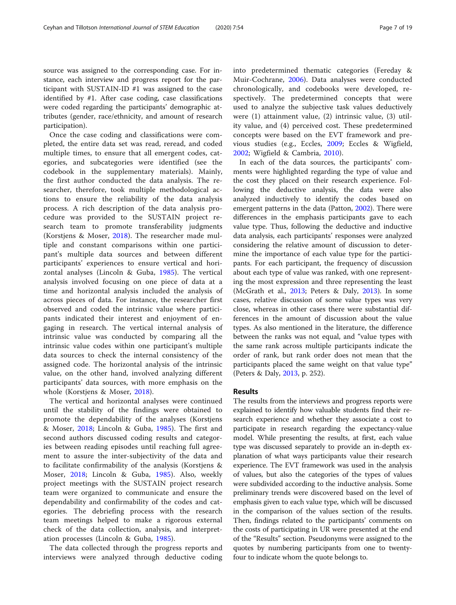source was assigned to the corresponding case. For instance, each interview and progress report for the participant with SUSTAIN-ID #1 was assigned to the case identified by #1. After case coding, case classifications were coded regarding the participants' demographic attributes (gender, race/ethnicity, and amount of research participation).

Once the case coding and classifications were completed, the entire data set was read, reread, and coded multiple times, to ensure that all emergent codes, categories, and subcategories were identified (see the codebook in the supplementary materials). Mainly, the first author conducted the data analysis. The researcher, therefore, took multiple methodological actions to ensure the reliability of the data analysis process. A rich description of the data analysis procedure was provided to the SUSTAIN project research team to promote transferability judgments (Korstjens & Moser, [2018](#page-17-0)). The researcher made multiple and constant comparisons within one participant's multiple data sources and between different participants' experiences to ensure vertical and horizontal analyses (Lincoln & Guba, [1985](#page-17-0)). The vertical analysis involved focusing on one piece of data at a time and horizontal analysis included the analysis of across pieces of data. For instance, the researcher first observed and coded the intrinsic value where participants indicated their interest and enjoyment of engaging in research. The vertical internal analysis of intrinsic value was conducted by comparing all the intrinsic value codes within one participant's multiple data sources to check the internal consistency of the assigned code. The horizontal analysis of the intrinsic value, on the other hand, involved analyzing different participants' data sources, with more emphasis on the whole (Korstjens & Moser, [2018](#page-17-0)).

The vertical and horizontal analyses were continued until the stability of the findings were obtained to promote the dependability of the analyses (Korstjens & Moser, [2018](#page-17-0); Lincoln & Guba, [1985](#page-17-0)). The first and second authors discussed coding results and categories between reading episodes until reaching full agreement to assure the inter-subjectivity of the data and to facilitate confirmability of the analysis (Korstjens & Moser, [2018;](#page-17-0) Lincoln & Guba, [1985](#page-17-0)). Also, weekly project meetings with the SUSTAIN project research team were organized to communicate and ensure the dependability and confirmability of the codes and categories. The debriefing process with the research team meetings helped to make a rigorous external check of the data collection, analysis, and interpretation processes (Lincoln & Guba, [1985\)](#page-17-0).

The data collected through the progress reports and interviews were analyzed through deductive coding into predetermined thematic categories (Fereday & Muir-Cochrane, [2006\)](#page-17-0). Data analyses were conducted chronologically, and codebooks were developed, respectively. The predetermined concepts that were used to analyze the subjective task values deductively were (1) attainment value, (2) intrinsic value, (3) utility value, and (4) perceived cost. These predetermined concepts were based on the EVT framework and previous studies (e.g., Eccles, [2009](#page-17-0); Eccles & Wigfield, [2002;](#page-17-0) Wigfield & Cambria, [2010](#page-18-0)).

In each of the data sources, the participants' comments were highlighted regarding the type of value and the cost they placed on their research experience. Following the deductive analysis, the data were also analyzed inductively to identify the codes based on emergent patterns in the data (Patton, [2002\)](#page-17-0). There were differences in the emphasis participants gave to each value type. Thus, following the deductive and inductive data analysis, each participants' responses were analyzed considering the relative amount of discussion to determine the importance of each value type for the participants. For each participant, the frequency of discussion about each type of value was ranked, with one representing the most expression and three representing the least (McGrath et al., [2013;](#page-17-0) Peters & Daly, [2013](#page-17-0)). In some cases, relative discussion of some value types was very close, whereas in other cases there were substantial differences in the amount of discussion about the value types. As also mentioned in the literature, the difference between the ranks was not equal, and "value types with the same rank across multiple participants indicate the order of rank, but rank order does not mean that the participants placed the same weight on that value type" (Peters & Daly, [2013](#page-17-0), p. 252).

## Results

The results from the interviews and progress reports were explained to identify how valuable students find their research experience and whether they associate a cost to participate in research regarding the expectancy-value model. While presenting the results, at first, each value type was discussed separately to provide an in-depth explanation of what ways participants value their research experience. The EVT framework was used in the analysis of values, but also the categories of the types of values were subdivided according to the inductive analysis. Some preliminary trends were discovered based on the level of emphasis given to each value type, which will be discussed in the comparison of the values section of the results. Then, findings related to the participants' comments on the costs of participating in UR were presented at the end of the "Results" section. Pseudonyms were assigned to the quotes by numbering participants from one to twentyfour to indicate whom the quote belongs to.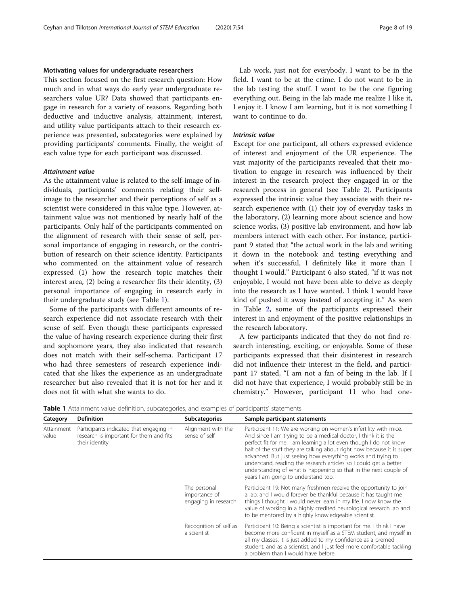### Motivating values for undergraduate researchers

This section focused on the first research question: How much and in what ways do early year undergraduate researchers value UR? Data showed that participants engage in research for a variety of reasons. Regarding both deductive and inductive analysis, attainment, interest, and utility value participants attach to their research experience was presented, subcategories were explained by providing participants' comments. Finally, the weight of each value type for each participant was discussed.

As the attainment value is related to the self-image of individuals, participants' comments relating their selfimage to the researcher and their perceptions of self as a scientist were considered in this value type. However, attainment value was not mentioned by nearly half of the participants. Only half of the participants commented on the alignment of research with their sense of self, personal importance of engaging in research, or the contribution of research on their science identity. Participants who commented on the attainment value of research expressed (1) how the research topic matches their interest area, (2) being a researcher fits their identity, (3) personal importance of engaging in research early in their undergraduate study (see Table 1).

Some of the participants with different amounts of research experience did not associate research with their sense of self. Even though these participants expressed the value of having research experience during their first and sophomore years, they also indicated that research does not match with their self-schema. Participant 17 who had three semesters of research experience indicated that she likes the experience as an undergraduate researcher but also revealed that it is not for her and it does not fit with what she wants to do.

Lab work, just not for everybody. I want to be in the field. I want to be at the crime. I do not want to be in the lab testing the stuff. I want to be the one figuring everything out. Being in the lab made me realize I like it, I enjoy it. I know I am learning, but it is not something I want to continue to do.

Except for one participant, all others expressed evidence of interest and enjoyment of the UR experience. The vast majority of the participants revealed that their motivation to engage in research was influenced by their interest in the research project they engaged in or the research process in general (see Table [2](#page-8-0)). Participants expressed the intrinsic value they associate with their research experience with (1) their joy of everyday tasks in the laboratory, (2) learning more about science and how science works, (3) positive lab environment, and how lab members interact with each other. For instance, participant 9 stated that "the actual work in the lab and writing it down in the notebook and testing everything and when it's successful, I definitely like it more than I thought I would." Participant 6 also stated, "if it was not enjoyable, I would not have been able to delve as deeply into the research as I have wanted. I think I would have kind of pushed it away instead of accepting it." As seen in Table [2](#page-8-0), some of the participants expressed their interest in and enjoyment of the positive relationships in the research laboratory.

A few participants indicated that they do not find research interesting, exciting, or enjoyable. Some of these participants expressed that their disinterest in research did not influence their interest in the field, and participant 17 stated, "I am not a fan of being in the lab. If I did not have that experience, I would probably still be in chemistry." However, participant 11 who had one-

| Category            | <b>Definition</b>                                                                                    | <b>Subcategories</b>                                  | Sample participant statements                                                                                                                                                                                                                                                                                                                                                                                                                                                                                                      |  |  |
|---------------------|------------------------------------------------------------------------------------------------------|-------------------------------------------------------|------------------------------------------------------------------------------------------------------------------------------------------------------------------------------------------------------------------------------------------------------------------------------------------------------------------------------------------------------------------------------------------------------------------------------------------------------------------------------------------------------------------------------------|--|--|
| Attainment<br>value | Participants indicated that engaging in<br>research is important for them and fits<br>their identity | Alignment with the<br>sense of self                   | Participant 11: We are working on women's infertility with mice.<br>And since I am trying to be a medical doctor, I think it is the<br>perfect fit for me. I am learning a lot even though I do not know<br>half of the stuff they are talking about right now because it is super<br>advanced. But just seeing how everything works and trying to<br>understand, reading the research articles so I could get a better<br>understanding of what is happening so that in the next couple of<br>years I am going to understand too. |  |  |
|                     |                                                                                                      | The personal<br>importance of<br>engaging in research | Participant 19: Not many freshmen receive the opportunity to join<br>a lab, and I would forever be thankful because it has taught me<br>things I thought I would never learn in my life. I now know the<br>value of working in a highly credited neurological research lab and<br>to be mentored by a highly knowledgeable scientist.                                                                                                                                                                                              |  |  |
|                     |                                                                                                      | Recognition of self as<br>a scientist                 | Participant 10: Being a scientist is important for me. I think I have<br>become more confident in myself as a STEM student, and myself in<br>all my classes. It is just added to my confidence as a premed<br>student, and as a scientist, and I just feel more comfortable tackling<br>a problem than I would have before.                                                                                                                                                                                                        |  |  |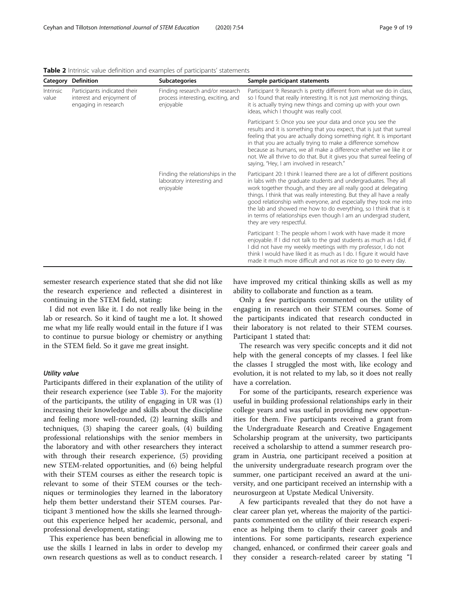| <b>Category Definition</b> |                                                                                   | <b>Subcategories</b>                                                                | Sample participant statements                                                                                                                                                                                                                                                                                                                                                                                                                                                                                                         |  |  |
|----------------------------|-----------------------------------------------------------------------------------|-------------------------------------------------------------------------------------|---------------------------------------------------------------------------------------------------------------------------------------------------------------------------------------------------------------------------------------------------------------------------------------------------------------------------------------------------------------------------------------------------------------------------------------------------------------------------------------------------------------------------------------|--|--|
| Intrinsic<br>value         | Participants indicated their<br>interest and enjoyment of<br>engaging in research | Finding research and/or research<br>process interesting, exciting, and<br>enjoyable | Participant 9: Research is pretty different from what we do in class,<br>so I found that really interesting. It is not just memorizing things,<br>it is actually trying new things and coming up with your own<br>ideas, which I thought was really cool.                                                                                                                                                                                                                                                                             |  |  |
|                            |                                                                                   |                                                                                     | Participant 5: Once you see your data and once you see the<br>results and it is something that you expect, that is just that surreal<br>feeling that you are actually doing something right. It is important<br>in that you are actually trying to make a difference somehow<br>because as humans, we all make a difference whether we like it or<br>not. We all thrive to do that. But it gives you that surreal feeling of<br>saying, "Hey, I am involved in research."                                                             |  |  |
|                            |                                                                                   | Finding the relationships in the<br>laboratory interesting and<br>enjoyable         | Participant 20: I think I learned there are a lot of different positions<br>in labs with the graduate students and undergraduates. They all<br>work together though, and they are all really good at delegating<br>things. I think that was really interesting. But they all have a really<br>good relationship with everyone, and especially they took me into<br>the lab and showed me how to do everything, so I think that is it<br>in terms of relationships even though I am an undergrad student,<br>they are very respectful. |  |  |
|                            |                                                                                   |                                                                                     | Participant 1: The people whom I work with have made it more<br>enjoyable. If I did not talk to the grad students as much as I did, if<br>I did not have my weekly meetings with my professor, I do not<br>think I would have liked it as much as I do. I figure it would have<br>made it much more difficult and not as nice to go to every day.                                                                                                                                                                                     |  |  |

<span id="page-8-0"></span>Table 2 Intrinsic value definition and examples of participants' statements

semester research experience stated that she did not like the research experience and reflected a disinterest in continuing in the STEM field, stating:

I did not even like it. I do not really like being in the lab or research. So it kind of taught me a lot. It showed me what my life really would entail in the future if I was to continue to pursue biology or chemistry or anything in the STEM field. So it gave me great insight.

Participants differed in their explanation of the utility of their research experience (see Table [3](#page-9-0)). For the majority of the participants, the utility of engaging in UR was (1) increasing their knowledge and skills about the discipline and feeling more well-rounded, (2) learning skills and techniques, (3) shaping the career goals, (4) building professional relationships with the senior members in the laboratory and with other researchers they interact with through their research experience, (5) providing new STEM-related opportunities, and (6) being helpful with their STEM courses as either the research topic is relevant to some of their STEM courses or the techniques or terminologies they learned in the laboratory help them better understand their STEM courses. Participant 3 mentioned how the skills she learned throughout this experience helped her academic, personal, and professional development, stating:

This experience has been beneficial in allowing me to use the skills I learned in labs in order to develop my own research questions as well as to conduct research. I have improved my critical thinking skills as well as my ability to collaborate and function as a team.

Only a few participants commented on the utility of engaging in research on their STEM courses. Some of the participants indicated that research conducted in their laboratory is not related to their STEM courses. Participant 1 stated that:

The research was very specific concepts and it did not help with the general concepts of my classes. I feel like the classes I struggled the most with, like ecology and evolution, it is not related to my lab, so it does not really have a correlation.

For some of the participants, research experience was useful in building professional relationships early in their college years and was useful in providing new opportunities for them. Five participants received a grant from the Undergraduate Research and Creative Engagement Scholarship program at the university, two participants received a scholarship to attend a summer research program in Austria, one participant received a position at the university undergraduate research program over the summer, one participant received an award at the university, and one participant received an internship with a neurosurgeon at Upstate Medical University.

A few participants revealed that they do not have a clear career plan yet, whereas the majority of the participants commented on the utility of their research experience as helping them to clarify their career goals and intentions. For some participants, research experience changed, enhanced, or confirmed their career goals and they consider a research-related career by stating "I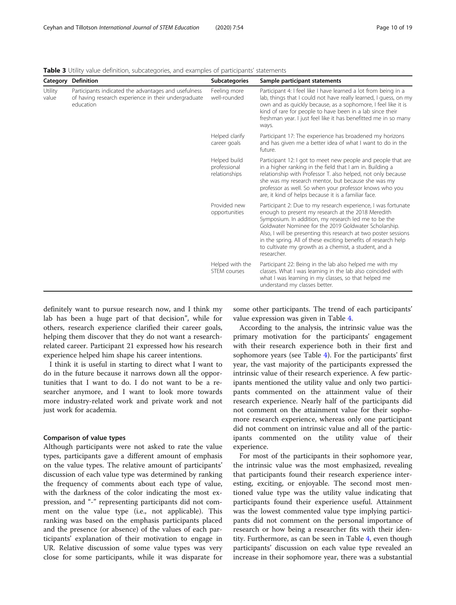|                  | <b>Category Definition</b>                                                                                                | <b>Subcategories</b>                          | Sample participant statements                                                                                                                                                                                                                                                                                                                                                                                                                     |  |  |
|------------------|---------------------------------------------------------------------------------------------------------------------------|-----------------------------------------------|---------------------------------------------------------------------------------------------------------------------------------------------------------------------------------------------------------------------------------------------------------------------------------------------------------------------------------------------------------------------------------------------------------------------------------------------------|--|--|
| Utility<br>value | Participants indicated the advantages and usefulness<br>of having research experience in their undergraduate<br>education | Feeling more<br>well-rounded                  | Participant 4: I feel like I have learned a lot from being in a<br>lab, things that I could not have really learned, I guess, on my<br>own and as quickly because, as a sophomore, I feel like it is<br>kind of rare for people to have been in a lab since their<br>freshman year. I just feel like it has benefitted me in so many<br>ways.                                                                                                     |  |  |
|                  |                                                                                                                           | Helped clarify<br>career goals                | Participant 17: The experience has broadened my horizons<br>and has given me a better idea of what I want to do in the<br>future.                                                                                                                                                                                                                                                                                                                 |  |  |
|                  |                                                                                                                           | Helped build<br>professional<br>relationships | Participant 12: I got to meet new people and people that are<br>in a higher ranking in the field that I am in. Building a<br>relationship with Professor T. also helped, not only because<br>she was my research mentor, but because she was my<br>professor as well. So when your professor knows who you<br>are, it kind of helps because it is a familiar face.                                                                                |  |  |
|                  |                                                                                                                           | Provided new<br>opportunities                 | Participant 2: Due to my research experience, I was fortunate<br>enough to present my research at the 2018 Meredith<br>Symposium. In addition, my research led me to be the<br>Goldwater Nominee for the 2019 Goldwater Scholarship.<br>Also, I will be presenting this research at two poster sessions<br>in the spring. All of these exciting benefits of research help<br>to cultivate my growth as a chemist, a student, and a<br>researcher. |  |  |
|                  |                                                                                                                           | Helped with the<br>STEM courses               | Participant 22: Being in the lab also helped me with my<br>classes. What I was learning in the lab also coincided with<br>what I was learning in my classes, so that helped me<br>understand my classes better.                                                                                                                                                                                                                                   |  |  |

<span id="page-9-0"></span>Table 3 Utility value definition, subcategories, and examples of participants' statements

definitely want to pursue research now, and I think my lab has been a huge part of that decision", while for others, research experience clarified their career goals, helping them discover that they do not want a researchrelated career. Participant 21 expressed how his research experience helped him shape his career intentions.

I think it is useful in starting to direct what I want to do in the future because it narrows down all the opportunities that I want to do. I do not want to be a researcher anymore, and I want to look more towards more industry-related work and private work and not just work for academia.

### Comparison of value types

Although participants were not asked to rate the value types, participants gave a different amount of emphasis on the value types. The relative amount of participants' discussion of each value type was determined by ranking the frequency of comments about each type of value, with the darkness of the color indicating the most expression, and "-" representing participants did not comment on the value type (i.e., not applicable). This ranking was based on the emphasis participants placed and the presence (or absence) of the values of each participants' explanation of their motivation to engage in UR. Relative discussion of some value types was very close for some participants, while it was disparate for

some other participants. The trend of each participants' value expression was given in Table [4](#page-10-0).

According to the analysis, the intrinsic value was the primary motivation for the participants' engagement with their research experience both in their first and sophomore years (see Table [4\)](#page-10-0). For the participants' first year, the vast majority of the participants expressed the intrinsic value of their research experience. A few participants mentioned the utility value and only two participants commented on the attainment value of their research experience. Nearly half of the participants did not comment on the attainment value for their sophomore research experience, whereas only one participant did not comment on intrinsic value and all of the participants commented on the utility value of their experience.

For most of the participants in their sophomore year, the intrinsic value was the most emphasized, revealing that participants found their research experience interesting, exciting, or enjoyable. The second most mentioned value type was the utility value indicating that participants found their experience useful. Attainment was the lowest commented value type implying participants did not comment on the personal importance of research or how being a researcher fits with their identity. Furthermore, as can be seen in Table [4](#page-10-0), even though participants' discussion on each value type revealed an increase in their sophomore year, there was a substantial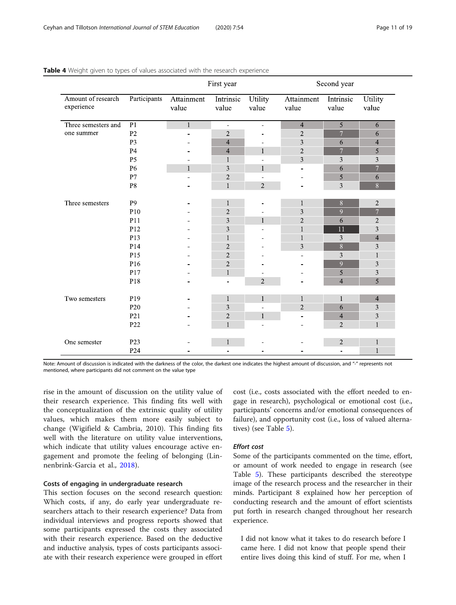|                                  |                 | First year          |                          |                          | Second year                  |                    |                          |  |
|----------------------------------|-----------------|---------------------|--------------------------|--------------------------|------------------------------|--------------------|--------------------------|--|
| Amount of research<br>experience | Participants    | Attainment<br>value | Intrinsic<br>value       | Utility<br>value         | Attainment<br>value          | Intrinsic<br>value | Utility<br>value         |  |
| Three semesters and              | $\overline{P1}$ | $\mathbf{1}$        | $\blacksquare$           | $\equiv$                 | $\overline{4}$               | $\overline{5}$     | 6                        |  |
| one summer                       | P <sub>2</sub>  | -                   | $\overline{c}$           |                          | $\sqrt{2}$                   | $\overline{7}$     | 6                        |  |
|                                  | P <sub>3</sub>  | 4                   |                          |                          | $\mathfrak{Z}$               | 6                  | $\overline{\mathcal{A}}$ |  |
|                                  | <b>P4</b>       |                     | $\overline{\mathcal{A}}$ | $\mathbf{1}$             | $\overline{2}$               | $\overline{7}$     | 5                        |  |
|                                  | P <sub>5</sub>  | $\blacksquare$      | $\mathbf{1}$             | $\blacksquare$           | $\overline{3}$               | 3                  | 3                        |  |
|                                  | P <sub>6</sub>  | $\mathbf{1}$        | 3                        | $\mathbf{1}$             | $\blacksquare$               | 6                  | $\overline{7}$           |  |
|                                  | P7              | ÷                   | $\overline{c}$           | $\overline{a}$           | ÷                            | 5                  | 6                        |  |
|                                  | P8              |                     | $\,1$                    | $\overline{c}$           |                              | $\mathfrak{Z}$     | $\overline{8}$           |  |
|                                  |                 |                     |                          |                          |                              |                    |                          |  |
| Three semesters                  | P <sub>9</sub>  |                     | $\mathbf{1}$             |                          | 1                            | $\overline{8}$     | $\sqrt{2}$               |  |
|                                  | P10             |                     | $\overline{c}$           |                          | 3                            | $\overline{9}$     | $\overline{7}$           |  |
|                                  | P11             |                     | 3                        | $\mathbf{1}$             | $\overline{2}$               | $\sqrt{6}$         | $\overline{\mathbf{c}}$  |  |
|                                  | P12             |                     | 3                        |                          | $\mathbf{1}$                 | $\overline{11}$    | 3                        |  |
|                                  | P13             |                     | 1                        |                          | $\mathbf{1}$                 | $\mathfrak{Z}$     | $\overline{\mathcal{L}}$ |  |
|                                  | P14             |                     | 2                        |                          | $\mathfrak{Z}$               | $\boldsymbol{8}$   | 3                        |  |
|                                  | P15             |                     | $\overline{2}$           |                          |                              | 3                  | $\mathbf{1}$             |  |
|                                  | P16             |                     | $\overline{c}$           |                          |                              | $\overline{9}$     | 3                        |  |
|                                  | P17             |                     | $\mathbf{1}$             | $\overline{\phantom{0}}$ |                              | 5                  | 3                        |  |
|                                  | P18             |                     | ۰                        | $\overline{2}$           |                              | $\overline{4}$     | 5                        |  |
|                                  |                 |                     |                          |                          |                              |                    |                          |  |
| Two semesters                    | P19             |                     | $\mathbf{1}$             | $\mathbf{1}$             | 1                            | $\mathbf{1}$       | $\overline{4}$           |  |
|                                  | P <sub>20</sub> |                     | 3                        |                          | $\sqrt{2}$                   | 6                  | 3                        |  |
|                                  | P <sub>21</sub> |                     | 2                        | $\mathbf{1}$             | $\qquad \qquad \blacksquare$ | $\overline{4}$     | 3                        |  |
|                                  | P22             |                     | $\mathbf{1}$             | ÷                        |                              | $\overline{2}$     | $\mathbf{1}$             |  |
|                                  |                 |                     |                          |                          |                              |                    |                          |  |
| One semester                     | P <sub>23</sub> | -                   | $\mathbf{1}$             | $\blacksquare$           |                              | $\sqrt{2}$         | $\mathbf{1}$             |  |
|                                  | P <sub>24</sub> |                     | ÷                        |                          |                              | $\blacksquare$     | $\mathbf{1}$             |  |

### <span id="page-10-0"></span>Table 4 Weight given to types of values associated with the research experience

Note: Amount of discussion is indicated with the darkness of the color, the darkest one indicates the highest amount of discussion, and "-" represents not mentioned, where participants did not comment on the value type

rise in the amount of discussion on the utility value of their research experience. This finding fits well with the conceptualization of the extrinsic quality of utility values, which makes them more easily subject to change (Wigifield & Cambria, 2010). This finding fits well with the literature on utility value interventions, which indicate that utility values encourage active engagement and promote the feeling of belonging (Linnenbrink-Garcia et al., [2018](#page-17-0)).

# Costs of engaging in undergraduate research

This section focuses on the second research question: Which costs, if any, do early year undergraduate researchers attach to their research experience? Data from individual interviews and progress reports showed that some participants expressed the costs they associated with their research experience. Based on the deductive and inductive analysis, types of costs participants associate with their research experience were grouped in effort cost (i.e., costs associated with the effort needed to engage in research), psychological or emotional cost (i.e., participants' concerns and/or emotional consequences of failure), and opportunity cost (i.e., loss of valued alternatives) (see Table [5\)](#page-11-0).

Some of the participants commented on the time, effort, or amount of work needed to engage in research (see Table [5](#page-11-0)). These participants described the stereotype image of the research process and the researcher in their minds. Participant 8 explained how her perception of conducting research and the amount of effort scientists put forth in research changed throughout her research experience.

I did not know what it takes to do research before I came here. I did not know that people spend their entire lives doing this kind of stuff. For me, when I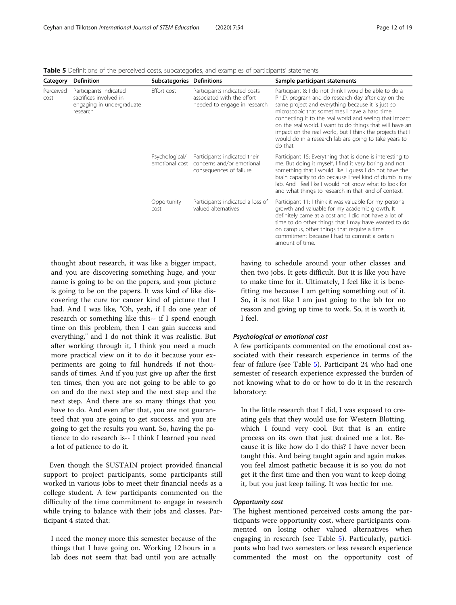| <b>Definition</b><br>Category |                                                                                           | <b>Subcategories Definitions</b> |                                                                                                     | Sample participant statements                                                                                                                                                                                                                                                                                                                                                                                                                                             |  |  |
|-------------------------------|-------------------------------------------------------------------------------------------|----------------------------------|-----------------------------------------------------------------------------------------------------|---------------------------------------------------------------------------------------------------------------------------------------------------------------------------------------------------------------------------------------------------------------------------------------------------------------------------------------------------------------------------------------------------------------------------------------------------------------------------|--|--|
| Perceived<br>cost             | Participants indicated<br>sacrifices involved in<br>engaging in undergraduate<br>research | Effort cost                      | Participants indicated costs<br>associated with the effort<br>needed to engage in research          | Participant 8: I do not think I would be able to do a<br>Ph.D. program and do research day after day on the<br>same project and everything because it is just so<br>microscopic that sometimes I have a hard time<br>connecting it to the real world and seeing that impact<br>on the real world. I want to do things that will have an<br>impact on the real world, but I think the projects that I<br>would do in a research lab are going to take years to<br>do that. |  |  |
|                               |                                                                                           | Psychological/                   | Participants indicated their<br>emotional cost concerns and/or emotional<br>consequences of failure | Participant 15: Everything that is done is interesting to<br>me. But doing it myself, I find it very boring and not<br>something that I would like. I guess I do not have the<br>brain capacity to do because I feel kind of dumb in my<br>lab. And I feel like I would not know what to look for<br>and what things to research in that kind of context.                                                                                                                 |  |  |
|                               |                                                                                           | Opportunity<br>cost              | Participants indicated a loss of<br>valued alternatives                                             | Participant 11: I think it was valuable for my personal<br>growth and valuable for my academic growth. It<br>definitely came at a cost and I did not have a lot of<br>time to do other things that I may have wanted to do<br>on campus, other things that require a time<br>commitment because I had to commit a certain<br>amount of time.                                                                                                                              |  |  |

<span id="page-11-0"></span>Table 5 Definitions of the perceived costs, subcategories, and examples of participants' statements

thought about research, it was like a bigger impact, and you are discovering something huge, and your name is going to be on the papers, and your picture is going to be on the papers. It was kind of like discovering the cure for cancer kind of picture that I had. And I was like, "Oh, yeah, if I do one year of research or something like this-- if I spend enough time on this problem, then I can gain success and everything," and I do not think it was realistic. But after working through it, I think you need a much more practical view on it to do it because your experiments are going to fail hundreds if not thousands of times. And if you just give up after the first ten times, then you are not going to be able to go on and do the next step and the next step and the next step. And there are so many things that you have to do. And even after that, you are not guaranteed that you are going to get success, and you are going to get the results you want. So, having the patience to do research is-- I think I learned you need a lot of patience to do it.

Even though the SUSTAIN project provided financial support to project participants, some participants still worked in various jobs to meet their financial needs as a college student. A few participants commented on the difficulty of the time commitment to engage in research while trying to balance with their jobs and classes. Participant 4 stated that:

I need the money more this semester because of the things that I have going on. Working 12 hours in a lab does not seem that bad until you are actually having to schedule around your other classes and then two jobs. It gets difficult. But it is like you have to make time for it. Ultimately, I feel like it is benefitting me because I am getting something out of it. So, it is not like I am just going to the lab for no reason and giving up time to work. So, it is worth it, I feel.

A few participants commented on the emotional cost associated with their research experience in terms of the fear of failure (see Table 5). Participant 24 who had one semester of research experience expressed the burden of not knowing what to do or how to do it in the research laboratory:

In the little research that I did, I was exposed to creating gels that they would use for Western Blotting, which I found very cool. But that is an entire process on its own that just drained me a lot. Because it is like how do I do this? I have never been taught this. And being taught again and again makes you feel almost pathetic because it is so you do not get it the first time and then you want to keep doing it, but you just keep failing. It was hectic for me.

The highest mentioned perceived costs among the participants were opportunity cost, where participants commented on losing other valued alternatives when engaging in research (see Table 5). Particularly, participants who had two semesters or less research experience commented the most on the opportunity cost of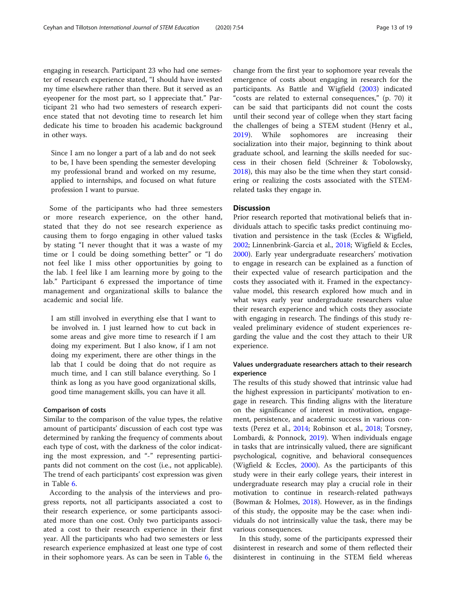engaging in research. Participant 23 who had one semester of research experience stated, "I should have invested my time elsewhere rather than there. But it served as an eyeopener for the most part, so I appreciate that." Participant 21 who had two semesters of research experience stated that not devoting time to research let him dedicate his time to broaden his academic background in other ways.

Since I am no longer a part of a lab and do not seek to be, I have been spending the semester developing my professional brand and worked on my resume, applied to internships, and focused on what future profession I want to pursue.

Some of the participants who had three semesters or more research experience, on the other hand, stated that they do not see research experience as causing them to forgo engaging in other valued tasks by stating "I never thought that it was a waste of my time or I could be doing something better" or "I do not feel like I miss other opportunities by going to the lab. I feel like I am learning more by going to the lab." Participant 6 expressed the importance of time management and organizational skills to balance the academic and social life.

I am still involved in everything else that I want to be involved in. I just learned how to cut back in some areas and give more time to research if I am doing my experiment. But I also know, if I am not doing my experiment, there are other things in the lab that I could be doing that do not require as much time, and I can still balance everything. So I think as long as you have good organizational skills, good time management skills, you can have it all.

# Comparison of costs

Similar to the comparison of the value types, the relative amount of participants' discussion of each cost type was determined by ranking the frequency of comments about each type of cost, with the darkness of the color indicating the most expression, and "-" representing participants did not comment on the cost (i.e., not applicable). The trend of each participants' cost expression was given in Table [6](#page-13-0).

According to the analysis of the interviews and progress reports, not all participants associated a cost to their research experience, or some participants associated more than one cost. Only two participants associated a cost to their research experience in their first year. All the participants who had two semesters or less research experience emphasized at least one type of cost in their sophomore years. As can be seen in Table [6](#page-13-0), the

change from the first year to sophomore year reveals the emergence of costs about engaging in research for the participants. As Battle and Wigfield [\(2003](#page-16-0)) indicated "costs are related to external consequences," (p. 70) it can be said that participants did not count the costs until their second year of college when they start facing the challenges of being a STEM student (Henry et al., [2019](#page-17-0)). While sophomores are increasing their socialization into their major, beginning to think about graduate school, and learning the skills needed for success in their chosen field (Schreiner & Tobolowsky, [2018](#page-17-0)), this may also be the time when they start considering or realizing the costs associated with the STEMrelated tasks they engage in.

# **Discussion**

Prior research reported that motivational beliefs that individuals attach to specific tasks predict continuing motivation and persistence in the task (Eccles & Wigfield, [2002](#page-17-0); Linnenbrink-Garcia et al., [2018](#page-17-0); Wigfield & Eccles, [2000](#page-18-0)). Early year undergraduate researchers' motivation to engage in research can be explained as a function of their expected value of research participation and the costs they associated with it. Framed in the expectancyvalue model, this research explored how much and in what ways early year undergraduate researchers value their research experience and which costs they associate with engaging in research. The findings of this study revealed preliminary evidence of student experiences regarding the value and the cost they attach to their UR experience.

# Values undergraduate researchers attach to their research experience

The results of this study showed that intrinsic value had the highest expression in participants' motivation to engage in research. This finding aligns with the literature on the significance of interest in motivation, engagement, persistence, and academic success in various contexts (Perez et al., [2014;](#page-17-0) Robinson et al., [2018](#page-17-0); Torsney, Lombardi, & Ponnock, [2019\)](#page-18-0). When individuals engage in tasks that are intrinsically valued, there are significant psychological, cognitive, and behavioral consequences (Wigfield & Eccles, [2000](#page-18-0)). As the participants of this study were in their early college years, their interest in undergraduate research may play a crucial role in their motivation to continue in research-related pathways (Bowman & Holmes, [2018](#page-16-0)). However, as in the findings of this study, the opposite may be the case: when individuals do not intrinsically value the task, there may be various consequences.

In this study, some of the participants expressed their disinterest in research and some of them reflected their disinterest in continuing in the STEM field whereas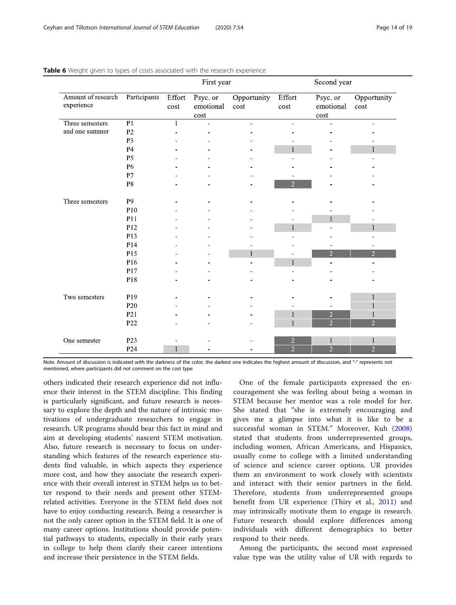|                                  |                 | First year     |                                    |                     | Second year                      |                                 |                                |
|----------------------------------|-----------------|----------------|------------------------------------|---------------------|----------------------------------|---------------------------------|--------------------------------|
| Amount of research<br>experience | Participants    | Effort<br>cost | Psyc. or<br>emotional<br>$\cos\!t$ | Opportunity<br>cost | Effort<br>cost                   | Psyc. or<br>emotional<br>cost   | Opportunity<br>cost            |
| Three semesters                  | $\overline{P1}$ | 1              | $\overline{a}$                     | $\equiv$            | ÷.                               | ÷.                              | ÷.                             |
| and one summer                   | P <sub>2</sub>  |                |                                    |                     |                                  |                                 |                                |
|                                  | P <sub>3</sub>  |                |                                    |                     |                                  |                                 |                                |
|                                  | P <sub>4</sub>  |                |                                    |                     |                                  |                                 |                                |
|                                  | P <sub>5</sub>  |                |                                    |                     |                                  |                                 |                                |
|                                  | P <sub>6</sub>  |                |                                    |                     |                                  |                                 |                                |
|                                  | P7              |                |                                    |                     |                                  |                                 |                                |
|                                  | ${\bf P}8$      |                |                                    |                     | $\overline{2}$                   |                                 |                                |
| Three semesters                  | P <sub>9</sub>  |                |                                    |                     |                                  |                                 |                                |
|                                  | P10             |                |                                    |                     |                                  |                                 |                                |
|                                  | P11             |                |                                    |                     |                                  | $\mathbf{1}$                    |                                |
|                                  | P12             |                |                                    |                     | $\mathbf{1}$                     | -                               | $\mathbf{1}$                   |
|                                  | P13             |                |                                    |                     |                                  |                                 |                                |
|                                  | P14             |                |                                    |                     |                                  |                                 |                                |
|                                  | P15             |                |                                    | 1                   |                                  | $\overline{2}$                  | $\overline{2}$                 |
|                                  | P16             |                |                                    |                     | $\mathbf{1}$                     |                                 |                                |
|                                  | P17             |                |                                    |                     |                                  |                                 |                                |
|                                  | P18             |                |                                    |                     |                                  |                                 |                                |
| Two semesters                    | P19             |                |                                    |                     |                                  |                                 | $\mathbf{1}$                   |
|                                  | P <sub>20</sub> |                |                                    |                     |                                  |                                 | 1                              |
|                                  | P <sub>21</sub> |                |                                    |                     | $\mathbf{1}$                     | $\overline{c}$                  | 1                              |
|                                  | P22             |                |                                    |                     | $\mathbf{1}$                     | $\overline{2}$                  | $\overline{2}$                 |
|                                  |                 |                |                                    |                     |                                  |                                 |                                |
| One semester                     | P <sub>23</sub> |                |                                    |                     | $\overline{c}$<br>$\overline{2}$ | $\mathbbm{1}$<br>$\overline{2}$ | $\mathbf{1}$<br>$\overline{2}$ |
|                                  | P <sub>24</sub> | 1              |                                    |                     |                                  |                                 |                                |

<span id="page-13-0"></span>Table 6 Weight given to types of costs associated with the research experience

Note. Amount of discussion is indicated with the darkness of the color, the darkest one indicates the highest amount of discussion, and "-" represents not mentioned, where participants did not comment on the cost type

others indicated their research experience did not influence their interest in the STEM discipline. This finding is particularly significant, and future research is necessary to explore the depth and the nature of intrinsic motivations of undergraduate researchers to engage in research. UR programs should bear this fact in mind and aim at developing students' nascent STEM motivation. Also, future research is necessary to focus on understanding which features of the research experience students find valuable, in which aspects they experience more cost, and how they associate the research experience with their overall interest in STEM helps us to better respond to their needs and present other STEMrelated activities. Everyone in the STEM field does not have to enjoy conducting research. Being a researcher is not the only career option in the STEM field. It is one of many career options. Institutions should provide potential pathways to students, especially in their early years in college to help them clarify their career intentions and increase their persistence in the STEM fields.

One of the female participants expressed the encouragement she was feeling about being a woman in STEM because her mentor was a role model for her. She stated that "she is extremely encouraging and gives me a glimpse into what it is like to be a successful woman in STEM." Moreover, Kuh [\(2008](#page-17-0)) stated that students from underrepresented groups, including women, African Americans, and Hispanics, usually come to college with a limited understanding of science and science career options. UR provides them an environment to work closely with scientists and interact with their senior partners in the field. Therefore, students from underrepresented groups benefit from UR experience (Thiry et al., [2011\)](#page-18-0) and may intrinsically motivate them to engage in research. Future research should explore differences among individuals with different demographics to better respond to their needs.

Among the participants, the second most expressed value type was the utility value of UR with regards to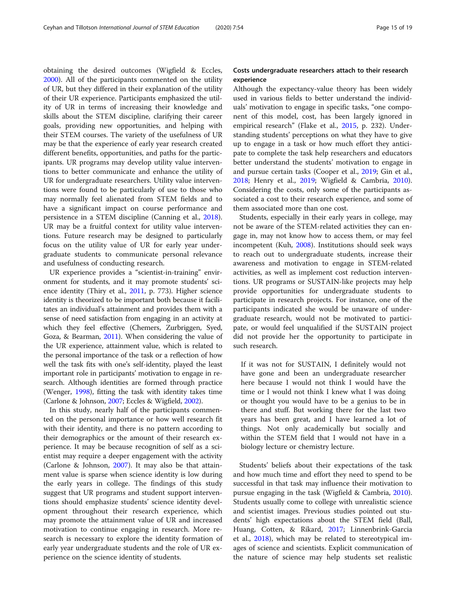obtaining the desired outcomes (Wigfield & Eccles, [2000](#page-18-0)). All of the participants commented on the utility of UR, but they differed in their explanation of the utility of their UR experience. Participants emphasized the utility of UR in terms of increasing their knowledge and skills about the STEM discipline, clarifying their career goals, providing new opportunities, and helping with their STEM courses. The variety of the usefulness of UR may be that the experience of early year research created different benefits, opportunities, and paths for the participants. UR programs may develop utility value interventions to better communicate and enhance the utility of UR for undergraduate researchers. Utility value interventions were found to be particularly of use to those who may normally feel alienated from STEM fields and to have a significant impact on course performance and persistence in a STEM discipline (Canning et al., [2018](#page-16-0)). UR may be a fruitful context for utility value interventions. Future research may be designed to particularly focus on the utility value of UR for early year undergraduate students to communicate personal relevance and usefulness of conducting research.

UR experience provides a "scientist-in-training" environment for students, and it may promote students' science identity (Thiry et al., [2011,](#page-18-0) p. 773). Higher science identity is theorized to be important both because it facilitates an individual's attainment and provides them with a sense of need satisfaction from engaging in an activity at which they feel effective (Chemers, Zurbriggen, Syed, Goza, & Bearman, [2011\)](#page-16-0). When considering the value of the UR experience, attainment value, which is related to the personal importance of the task or a reflection of how well the task fits with one's self-identity, played the least important role in participants' motivation to engage in research. Although identities are formed through practice (Wenger, [1998](#page-18-0)), fitting the task with identity takes time (Carlone & Johnson, [2007](#page-16-0); Eccles & Wigfield, [2002\)](#page-17-0).

In this study, nearly half of the participants commented on the personal importance or how well research fit with their identity, and there is no pattern according to their demographics or the amount of their research experience. It may be because recognition of self as a scientist may require a deeper engagement with the activity (Carlone & Johnson, [2007](#page-16-0)). It may also be that attainment value is sparse when science identity is low during the early years in college. The findings of this study suggest that UR programs and student support interventions should emphasize students' science identity development throughout their research experience, which may promote the attainment value of UR and increased motivation to continue engaging in research. More research is necessary to explore the identity formation of early year undergraduate students and the role of UR experience on the science identity of students.

# Costs undergraduate researchers attach to their research experience

Although the expectancy-value theory has been widely used in various fields to better understand the individuals' motivation to engage in specific tasks, "one component of this model, cost, has been largely ignored in empirical research" (Flake et al., [2015,](#page-17-0) p. 232). Understanding students' perceptions on what they have to give up to engage in a task or how much effort they anticipate to complete the task help researchers and educators better understand the students' motivation to engage in and pursue certain tasks (Cooper et al., [2019;](#page-17-0) Gin et al., [2018](#page-17-0); Henry et al., [2019](#page-17-0); Wigfield & Cambria, [2010](#page-18-0)). Considering the costs, only some of the participants associated a cost to their research experience, and some of them associated more than one cost.

Students, especially in their early years in college, may not be aware of the STEM-related activities they can engage in, may not know how to access them, or may feel incompetent (Kuh, [2008](#page-17-0)). Institutions should seek ways to reach out to undergraduate students, increase their awareness and motivation to engage in STEM-related activities, as well as implement cost reduction interventions. UR programs or SUSTAIN-like projects may help provide opportunities for undergraduate students to participate in research projects. For instance, one of the participants indicated she would be unaware of undergraduate research, would not be motivated to participate, or would feel unqualified if the SUSTAIN project did not provide her the opportunity to participate in such research.

If it was not for SUSTAIN, I definitely would not have gone and been an undergraduate researcher here because I would not think I would have the time or I would not think I knew what I was doing or thought you would have to be a genius to be in there and stuff. But working there for the last two years has been great, and I have learned a lot of things. Not only academically but socially and within the STEM field that I would not have in a biology lecture or chemistry lecture.

Students' beliefs about their expectations of the task and how much time and effort they need to spend to be successful in that task may influence their motivation to pursue engaging in the task (Wigfield & Cambria, [2010](#page-18-0)). Students usually come to college with unrealistic science and scientist images. Previous studies pointed out students' high expectations about the STEM field (Ball, Huang, Cotten, & Rikard, [2017;](#page-16-0) Linnenbrink-Garcia et al., [2018](#page-17-0)), which may be related to stereotypical images of science and scientists. Explicit communication of the nature of science may help students set realistic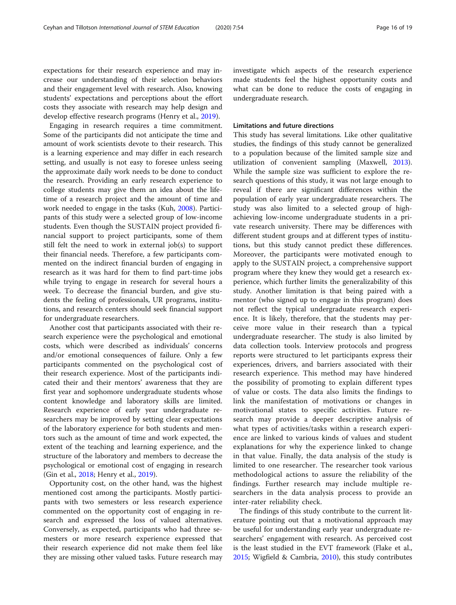expectations for their research experience and may increase our understanding of their selection behaviors and their engagement level with research. Also, knowing students' expectations and perceptions about the effort costs they associate with research may help design and develop effective research programs (Henry et al., [2019](#page-17-0)).

Engaging in research requires a time commitment. Some of the participants did not anticipate the time and amount of work scientists devote to their research. This is a learning experience and may differ in each research setting, and usually is not easy to foresee unless seeing the approximate daily work needs to be done to conduct the research. Providing an early research experience to college students may give them an idea about the lifetime of a research project and the amount of time and work needed to engage in the tasks (Kuh, [2008](#page-17-0)). Participants of this study were a selected group of low-income students. Even though the SUSTAIN project provided financial support to project participants, some of them still felt the need to work in external job(s) to support their financial needs. Therefore, a few participants commented on the indirect financial burden of engaging in research as it was hard for them to find part-time jobs while trying to engage in research for several hours a week. To decrease the financial burden, and give students the feeling of professionals, UR programs, institutions, and research centers should seek financial support for undergraduate researchers.

Another cost that participants associated with their research experience were the psychological and emotional costs, which were described as individuals' concerns and/or emotional consequences of failure. Only a few participants commented on the psychological cost of their research experience. Most of the participants indicated their and their mentors' awareness that they are first year and sophomore undergraduate students whose content knowledge and laboratory skills are limited. Research experience of early year undergraduate researchers may be improved by setting clear expectations of the laboratory experience for both students and mentors such as the amount of time and work expected, the extent of the teaching and learning experience, and the structure of the laboratory and members to decrease the psychological or emotional cost of engaging in research (Gin et al., [2018](#page-17-0); Henry et al., [2019](#page-17-0)).

Opportunity cost, on the other hand, was the highest mentioned cost among the participants. Mostly participants with two semesters or less research experience commented on the opportunity cost of engaging in research and expressed the loss of valued alternatives. Conversely, as expected, participants who had three semesters or more research experience expressed that their research experience did not make them feel like they are missing other valued tasks. Future research may investigate which aspects of the research experience made students feel the highest opportunity costs and what can be done to reduce the costs of engaging in undergraduate research.

### Limitations and future directions

This study has several limitations. Like other qualitative studies, the findings of this study cannot be generalized to a population because of the limited sample size and utilization of convenient sampling (Maxwell, [2013](#page-17-0)). While the sample size was sufficient to explore the research questions of this study, it was not large enough to reveal if there are significant differences within the population of early year undergraduate researchers. The study was also limited to a selected group of highachieving low-income undergraduate students in a private research university. There may be differences with different student groups and at different types of institutions, but this study cannot predict these differences. Moreover, the participants were motivated enough to apply to the SUSTAIN project, a comprehensive support program where they knew they would get a research experience, which further limits the generalizability of this study. Another limitation is that being paired with a mentor (who signed up to engage in this program) does not reflect the typical undergraduate research experience. It is likely, therefore, that the students may perceive more value in their research than a typical undergraduate researcher. The study is also limited by data collection tools. Interview protocols and progress reports were structured to let participants express their experiences, drivers, and barriers associated with their research experience. This method may have hindered the possibility of promoting to explain different types of value or costs. The data also limits the findings to link the manifestation of motivations or changes in motivational states to specific activities. Future research may provide a deeper descriptive analysis of what types of activities/tasks within a research experience are linked to various kinds of values and student explanations for why the experience linked to change in that value. Finally, the data analysis of the study is limited to one researcher. The researcher took various methodological actions to assure the reliability of the findings. Further research may include multiple researchers in the data analysis process to provide an inter-rater reliability check.

The findings of this study contribute to the current literature pointing out that a motivational approach may be useful for understanding early year undergraduate researchers' engagement with research. As perceived cost is the least studied in the EVT framework (Flake et al., [2015](#page-17-0); Wigfield & Cambria, [2010\)](#page-18-0), this study contributes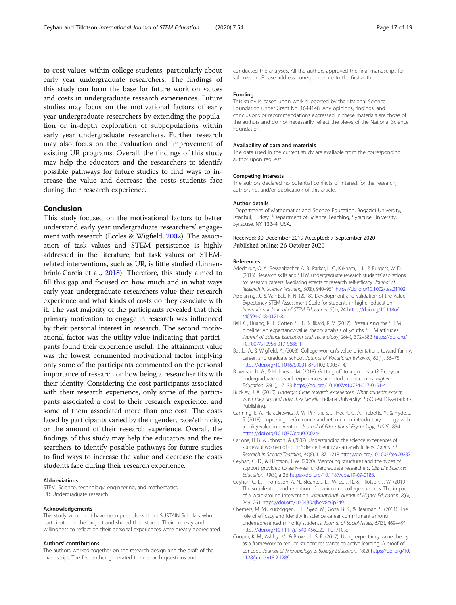<span id="page-16-0"></span>to cost values within college students, particularly about early year undergraduate researchers. The findings of this study can form the base for future work on values and costs in undergraduate research experiences. Future studies may focus on the motivational factors of early year undergraduate researchers by extending the population or in-depth exploration of subpopulations within early year undergraduate researchers. Further research may also focus on the evaluation and improvement of existing UR programs. Overall, the findings of this study may help the educators and the researchers to identify possible pathways for future studies to find ways to increase the value and decrease the costs students face during their research experience.

# Conclusion

This study focused on the motivational factors to better understand early year undergraduate researchers' engagement with research (Eccles & Wigfield, [2002](#page-17-0)). The association of task values and STEM persistence is highly addressed in the literature, but task values on STEMrelated interventions, such as UR, is little studied (Linnenbrink-Garcia et al., [2018](#page-17-0)). Therefore, this study aimed to fill this gap and focused on how much and in what ways early year undergraduate researchers value their research experience and what kinds of costs do they associate with it. The vast majority of the participants revealed that their primary motivation to engage in research was influenced by their personal interest in research. The second motivational factor was the utility value indicating that participants found their experience useful. The attainment value was the lowest commented motivational factor implying only some of the participants commented on the personal importance of research or how being a researcher fits with their identity. Considering the cost participants associated with their research experience, only some of the participants associated a cost to their research experience, and some of them associated more than one cost. The costs faced by participants varied by their gender, race/ethnicity, or the amount of their research experience. Overall, the findings of this study may help the educators and the researchers to identify possible pathways for future studies to find ways to increase the value and decrease the costs students face during their research experience.

### Abbreviations

STEM: Science, technology, engineering, and mathematics; UR: Undergraduate research

### Acknowledgements

This study would not have been possible without SUSTAIN Scholars who participated in the project and shared their stories. Their honesty and willingness to reflect on their personal experiences were greatly appreciated.

### Authors' contributions

The authors worked together on the research design and the draft of the manuscript. The first author generated the research questions and

conducted the analyses. All the authors approved the final manuscript for submission. Please address correspondence to the first author.

### Funding

This study is based upon work supported by the National Science Foundation under Grant No. 1644148. Any opinions, findings, and conclusions or recommendations expressed in these materials are those of the authors and do not necessarily reflect the views of the National Science Foundation.

### Availability of data and materials

The data used in the current study are available from the corresponding author upon request.

### Competing interests

The authors declared no potential conflicts of interest for the research, authorship, and/or publication of this article.

### Author details

<sup>1</sup>Department of Mathematics and Science Education, Bogazici University, Istanbul, Turkey. <sup>2</sup> Department of Science Teaching, Syracuse University Syracuse, NY 13244, USA.

### Received: 30 December 2019 Accepted: 7 September 2020 Published online: 26 October 2020

### References

- Adedokun, O. A., Bessenbacher, A. B., Parker, L. C., Kirkham, L. L., & Burgess, W. D. (2013). Research skills and STEM undergraduate research students' aspirations for research careers: Mediating effects of research self-efficacy. Journal of Research in Science Teaching, 50(8), 940–951 [https://doi.org/10.1002/tea.21102.](https://doi.org/10.1002/tea.21102)
- Appianing, J., & Van Eck, R. N. (2018). Development and validation of the Value-Expectancy STEM Assessment Scale for students in higher education. International Journal of STEM Education, 5(1), 24 [https://doi.org/10.1186/](https://doi.org/10.1186/s40594-018-0121-8) [s40594-018-0121-8.](https://doi.org/10.1186/s40594-018-0121-8)
- Ball, C., Huang, K. T., Cotten, S. R., & Rikard, R. V. (2017). Pressurizing the STEM pipeline: An expectancy-value theory analysis of youths' STEM attitudes. Journal of Science Education and Technology, 26(4), 372–382 [https://doi.org/](https://doi.org/10.1007/s10956-017-9685-1) [10.1007/s10956-017-9685-1](https://doi.org/10.1007/s10956-017-9685-1).
- Battle, A., & Wigfield, A. (2003). College women's value orientations toward family, career, and graduate school. Journal of Vocational Behavior, 62(1), 56–75. [https://doi.org/10.1016/S0001-8791\(](https://doi.org/10.1016/S0001-8791)02)00037–4.
- Bowman, N. A., & Holmes, J. M. (2018). Getting off to a good start? First-year undergraduate research experiences and student outcomes. Higher Education, 76(1), 17–33 <https://doi.org/10.1007/s10734-017-0191-4>.
- Buckley, J. A. (2010). Undergraduate research experiences: What students expect, what they do, and how they benefit. Indiana University: ProQuest Dissertations Publishing.
- Canning, E. A., Harackiewicz, J. M., Priniski, S. J., Hecht, C. A., Tibbetts, Y., & Hyde, J. S. (2018). Improving performance and retention in introductory biology with a utility-value intervention. Journal of Educational Psychology, 110(6), 834 [https://doi.org/10.1037/edu0000244.](https://doi.org/10.1037/edu0000244)
- Carlone, H. B., & Johnson, A. (2007). Understanding the science experiences of successful women of color: Science identity as an analytic lens. Journal of Research in Science Teaching, 44(8), 1187–1218 <https://doi.org/10.1002/tea.20237>.
- Ceyhan, G. D., & Tillotson, J. W. (2020). Mentoring structures and the types of support provided to early-year undergraduate researchers. CBE Life Sciences Education, 19(3), ar26 [https://doi.org/10.1187/cbe.19-09-0183.](https://doi.org/10.1187/cbe.19-09-0183)
- Ceyhan, G. D., Thompson, A. N., Sloane, J. D., Wiles, J. R., & Tillotson, J. W. (2019). The socialization and retention of low-income college students: The impact of a wrap-around intervention. International Journal of Higher Education, 8(6), 249–261 <https://doi.org/10.5430/ijhe.v8n6p249>.
- Chemers, M. M., Zurbriggen, E. L., Syed, M., Goza, B. K., & Bearman, S. (2011). The role of efficacy and identity in science career commitment among underrepresented minority students. Journal of Social Issues, 67(3), 469–491 <https://doi.org/10.1111/j.1540-4560.2011.01710.x>.
- Cooper, K. M., Ashley, M., & Brownell, S. E. (2017). Using expectancy value theory as a framework to reduce student resistance to active learning: A proof of concept. Journal of Microbiology & Biology Education, 18(2) [https://doi.org/10.](https://doi.org/10.1128/jmbe.v18i2.1289) [1128/jmbe.v18i2.1289](https://doi.org/10.1128/jmbe.v18i2.1289).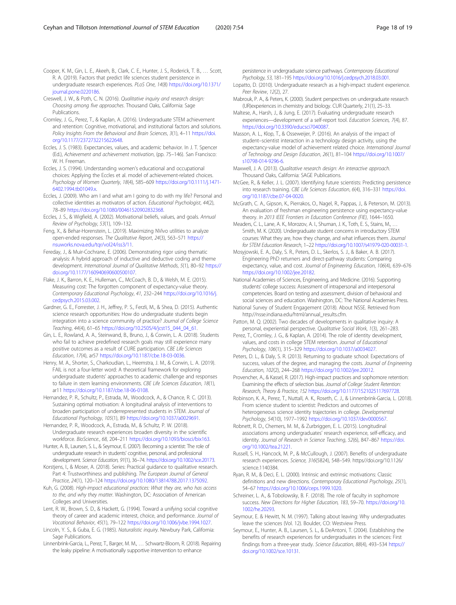<span id="page-17-0"></span>Creswell, J. W., & Poth, C. N. (2016). Qualitative inquiry and research design: Choosing among five approaches. Thousand Oaks, California: Sage Publications.

Cromley, J. G., Perez, T., & Kaplan, A. (2016). Undergraduate STEM achievement and retention: Cognitive, motivational, and institutional factors and solutions. Policy Insights From the Behavioral and Brain Sciences, 3(1), 4-11 [https://doi.](https://doi.org/10.1177/2372732215622648) [org/10.1177/2372732215622648.](https://doi.org/10.1177/2372732215622648)

Eccles, J. S. (1983). Expectancies, values, and academic behavior. In J. T. Spencer (Ed.), Achievement and achievement motivation, (pp. 75–146). San Francisco: W. H. Freeman.

Eccles, J. S. (1994). Understanding women's educational and occupational choices: Applying the Eccles et al. model of achievement-related choices. Psychology of Women Quarterly, 18(4), 585–609 [https://doi.org/10.1111/j.1471-](https://doi.org/10.1111/j.1471-6402.1994.tb01049.x) [6402.1994.tb01049.x.](https://doi.org/10.1111/j.1471-6402.1994.tb01049.x)

Eccles, J. (2009). Who am I and what am I going to do with my life? Personal and collective identities as motivators of action. Educational Psychologist, 44(2), 78–89 <https://doi.org/10.1080/00461520902832368>.

Eccles, J. S., & Wigfield, A. (2002). Motivational beliefs, values, and goals. Annual Review of Psychology, 53(1), 109–132.

Feng, X., & Behar-Horenstein, L. (2019). Maximizing NVivo utilities to analyze open-ended responses. The Qualitative Report, 24(3), 563–571 [https://](https://nsuworks.nova.edu/tqr/vol24/iss3/11) [nsuworks.nova.edu/tqr/vol24/iss3/11.](https://nsuworks.nova.edu/tqr/vol24/iss3/11)

Fereday, J., & Muir-Cochrane, E. (2006). Demonstrating rigor using thematic analysis: A hybrid approach of inductive and deductive coding and theme development. International Journal of Qualitative Methods, 5(1), 80–92 [https://](https://doi.org/10.1177/160940690600500107) [doi.org/10.1177/160940690600500107.](https://doi.org/10.1177/160940690600500107)

Flake, J. K., Barron, K. E., Hulleman, C., McCoach, B. D., & Welsh, M. E. (2015). Measuring cost: The forgotten component of expectancy-value theory. Contemporary Educational Psychology, 41, 232–244 [https://doi.org/10.1016/j.](https://doi.org/10.1016/j.cedpsych.2015.03.002) [cedpsych.2015.03.002.](https://doi.org/10.1016/j.cedpsych.2015.03.002)

Gardner, G. E., Forrester, J. H., Jeffrey, P. S., Ferzli, M., & Shea, D. (2015). Authentic science research opportunities: How do undergraduate students begin integration into a science community of practice? Journal of College Science Teaching, 44(4), 61–65 [https://doi.org/10.2505/4/jcst15\\_044\\_04\\_61.](https://doi.org/10.2505/4/jcst15_044_04_61)

Gin, L. E., Rowland, A. A., Steinwand, B., Bruno, J., & Corwin, L. A. (2018). Students who fail to achieve predefined research goals may still experience many positive outcomes as a result of CURE participation. CBE Life Sciences Education, 17(4), ar57 [https://doi.org/10.1187/cbe.18-03-0036.](https://doi.org/10.1187/cbe.18-03-0036)

Henry, M. A., Shorter, S., Charkoudian, L., Heemstra, J. M., & Corwin, L. A. (2019). FAIL is not a four-letter word: A theoretical framework for exploring undergraduate students' approaches to academic challenge and responses to failure in stem learning environments. CBE Life Sciences Education, 18(1), ar11 <https://doi.org/10.1187/cbe.18-06-0108>.

Hernandez, P. R., Schultz, P., Estrada, M., Woodcock, A., & Chance, R. C. (2013). Sustaining optimal motivation: A longitudinal analysis of interventions to broaden participation of underrepresented students in STEM. Journal of Educational Psychology, 105(1), 89 <https://doi.org/10.1037/a0029691>.

Hernandez, P. R., Woodcock, A., Estrada, M., & Schultz, P. W. (2018). Undergraduate research experiences broaden diversity in the scientific workforce. BioScience., 68, 204–211 [https://doi.org/10.1093/biosci/bix163.](https://doi.org/10.1093/biosci/bix163)

Hunter, A. B., Laursen, S. L., & Seymour, E. (2007). Becoming a scientist: The role of undergraduate research in students' cognitive, personal, and professional development. Science Education, 91(1), 36–74. [https://doi.org/10.1002/sce.20173.](https://doi.org/10.1002/sce.20173)

Korstjens, I., & Moser, A. (2018). Series: Practical guidance to qualitative research. Part 4: Trustworthiness and publishing. The European Journal of General Practice, 24(1), 120–124 [https://doi.org/10.1080/13814788.2017.1375092.](https://doi.org/10.1080/13814788.2017.1375092)

Kuh, G. (2008). High-impact educational practices: What they are, who has access to the, and why they matter. Washington, DC: Association of American Colleges and Universities.

Lent, R. W., Brown, S. D., & Hackett, G. (1994). Toward a unifying social cognitive theory of career and academic interest, choice, and performance. Journal of Vocational Behavior, 45(1), 79–122 <https://doi.org/10.1006/jvbe.1994.1027>.

Lincoln, Y. S., & Guba, E. G. (1985). Naturalistic inquiry. Newbury Park, California: Sage Publications.

Linnenbrink-Garcia, L., Perez, T., Barger, M. M., … Schwartz-Bloom, R. (2018). Repairing the leaky pipeline: A motivationally supportive intervention to enhance

persistence in undergraduate science pathways. Contemporary Educational Psychology, 53, 181–195 <https://doi.org/10.1016/j.cedpsych.2018.03.001>.

Lopatto, D. (2010). Undergraduate research as a high-impact student experience. Peer Review, 12(2), 27.

Mabrouk, P. A., & Peters, K. (2000). Student perspectives on undergraduate research (UR)experiences in chemistry and biology. CUR Quarterly, 21(1), 25–33.

Maltese, A., Harsh, J., & Jung, E. (2017). Evaluating undergraduate research experiences—development of a self-report tool. Education Sciences, 7(4), 87. <https://doi.org/10.3390/educsci7040087>.

Masson, A. L., Klop, T., & Osseweijer, P. (2016). An analysis of the impact of student–scientist interaction in a technology design activity, using the expectancy-value model of achievement related choice. International Journal of Technology and Design Education, 26(1), 81–104 [https://doi.org/10.1007/](https://doi.org/10.1007/s10798-014-9296-6) [s10798-014-9296-6.](https://doi.org/10.1007/s10798-014-9296-6)

- Maxwell, J. A. (2013). Qualitative research design: An interactive approach. Thousand Oaks, California: SAGE Publications.
- McGee, R., & Keller, J. L. (2007). Identifying future scientists: Predicting persistence into research training. CBE Life Sciences Education, 6(4), 316–331 [https://doi.](https://doi.org/10.1187/cbe.07-04-0020) [org/10.1187/cbe.07-04-0020](https://doi.org/10.1187/cbe.07-04-0020).

McGrath, C. A., Gipson, K., Pierrakos, O., Nagel, R., Pappas, J., & Peterson, M. (2013). An evaluation of freshman engineering persistence using expectancy-value theory. In 2013 IEEE Frontiers in Education Conference (FIE), 1644–1650.

Meaders, C. L., Lane, A. K., Morozov, A. I., Shuman, J. K., Toth, E. S., Stains, M., … Smith, M. K. (2020). Undergraduate student concerns in introductory STEM courses: What they are, how they change, and what influences them. Journal for STEM Education Research, 1–22 <https://doi.org/10.1007/s41979-020-00031-1>.

Mosyjowski, E. A., Daly, S. R., Peters, D. L., Skerlos, S. J., & Baker, A. B. (2017). Engineering PhD returners and direct-pathway students: Comparing expectancy, value, and cost. Journal of Engineering Education, 106(4), 639–676 [https://doi.org/10.1002/jee.20182.](https://doi.org/10.1002/jee.20182)

National Academies of Sciences, Engineering, and Medicine. (2016). Supporting students' college success: Assessment of intrapersonal and interpersonal competencies. Board on testing and assessment, division of behavioral and social sciences and education. Washington, DC: The National Academies Press.

National Survey of Student Engagement (2018). About NSSE. Retrieved from http://nsse.indiana.edu/html/annual\_results.cfm.

Patton, M. Q. (2002). Two decades of developments in qualitative inquiry: A personal, experiential perspective. Qualitative Social Work, 1(3), 261–283.

Perez, T., Cromley, J. G., & Kaplan, A. (2014). The role of identity development, values, and costs in college STEM retention. Journal of Educational Psychology, 106(1), 315–329 [https://doi.org/10.1037/a0034027.](https://doi.org/10.1037/a0034027)

Peters, D. L., & Daly, S. R. (2013). Returning to graduate school: Expectations of success, values of the degree, and managing the costs. Journal of Engineering Education, 102(2), 244–268 [https://doi.org/10.1002/jee.20012.](https://doi.org/10.1002/jee.20012)

Provencher, A., & Kassel, R. (2017). High-impact practices and sophomore retention: Examining the effects of selection bias. Journal of College Student Retention: Research, Theory & Practice, 152 <https://doi.org/10.1177/1521025117697728>.

Robinson, K. A., Perez, T., Nuttall, A. K., Roseth, C. J., & Linnenbrink-Garcia, L. (2018). From science student to scientist: Predictors and outcomes of heterogeneous science identity trajectories in college. Developmental Psychology, 54(10), 1977–1992 <https://doi.org/10.1037/dev0000567>.

Robnett, R. D., Chemers, M. M., & Zurbriggen, E. L. (2015). Longitudinal associations among undergraduates' research experience, self-efficacy, and identity. Journal of Research in Science Teaching, 52(6), 847–867 [https://doi.](https://doi.org/10.1002/tea.21221) [org/10.1002/tea.21221](https://doi.org/10.1002/tea.21221).

Russell, S. H., Hancock, M. P., & McCullough, J. (2007). Benefits of undergraduate research experiences. Science, 316(5824), 548–549. https//doi.org/10.1126/ science.1140384.

Ryan, R. M., & Deci, E. L. (2000). Intrinsic and extrinsic motivations: Classic definitions and new directions. Contemporary Educational Psychology, 25(1), 54–67 [https://doi.org/10.1006/ceps.1999.1020.](https://doi.org/10.1006/ceps.1999.1020)

Schreiner, L. A., & Tobolowsky, B. F. (2018). The role of faculty in sophomore success. New Directions for Higher Education, 183, 59–70. [https://doi.org/10.](https://doi.org/10.1002/he.20293) [1002/he.20293](https://doi.org/10.1002/he.20293).

Seymour, E. & Hewitt, N. M. (1997). Talking about leaving: Why undergraduates leave the sciences (Vol. 12). Boulder, CO: Westview Press.

Seymour, E., Hunter, A. B., Laursen, S. L., & DeAntoni, T. (2004). Establishing the benefits of research experiences for undergraduates in the sciences: First findings from a three-year study. Science Education, 88(4), 493–534 [https://](https://doi.org/10.1002/sce.10131) [doi.org/10.1002/sce.10131.](https://doi.org/10.1002/sce.10131)